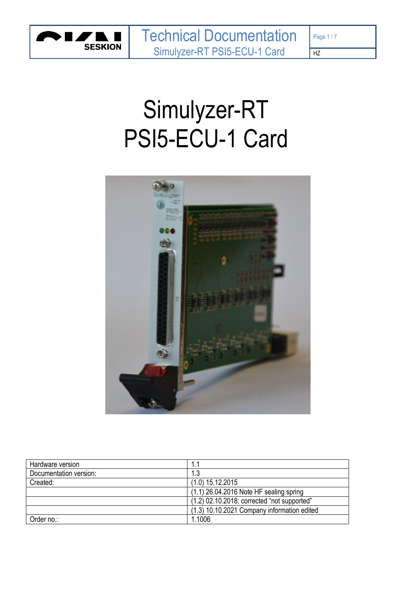

# Simulyzer-RT PSI5-ECU-1 Card



| Hardware version       |                                               |
|------------------------|-----------------------------------------------|
| Documentation version: | 1.3                                           |
| Created:               | $(1.0)$ 15.12.2015                            |
|                        | $(1.1)$ 26.04.2016 Note HF sealing spring     |
|                        | $(1.2)$ 02.10.2018: corrected "not supported" |
|                        | (1.3) 10.10.2021 Company information edited   |
| Order no.:             | 1.1006                                        |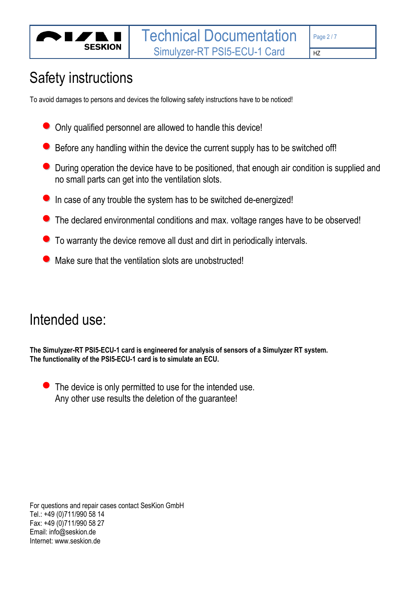

# Safety instructions

To avoid damages to persons and devices the following safety instructions have to be noticed!

- Only qualified personnel are allowed to handle this device!
- Before any handling within the device the current supply has to be switched off!
- During operation the device have to be positioned, that enough air condition is supplied and no small parts can get into the ventilation slots.
- **•** In case of any trouble the system has to be switched de-energized!
- The declared environmental conditions and max. voltage ranges have to be observed!
- To warranty the device remove all dust and dirt in periodically intervals.
- $\bullet$  Make sure that the ventilation slots are unobstructed!

## Intended use:

**The Simulyzer-RT PSI5-ECU-1 card is engineered for analysis of sensors of a Simulyzer RT system. The functionality of the PSI5-ECU-1 card is to simulate an ECU.**

 $\bullet$  The device is only permitted to use for the intended use. Any other use results the deletion of the guarantee!

For questions and repair cases contact SesKion GmbH Tel.: +49 (0)711/990 58 14 Fax: +49 (0)711/990 58 27 Email: info@seskion.de Internet: www.seskion.de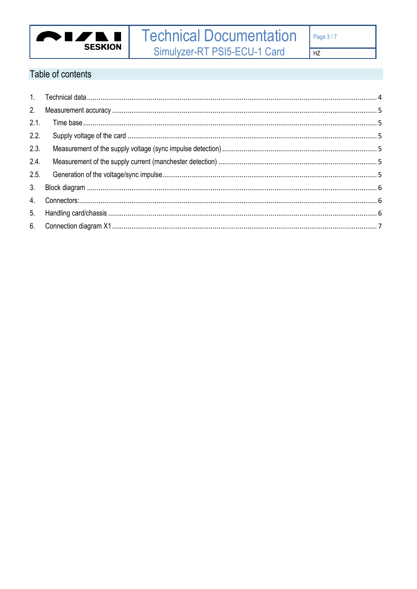

Table of contents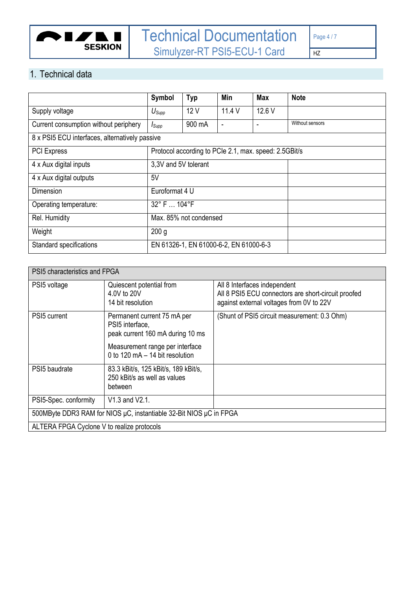

## <span id="page-3-0"></span>1. Technical data

|                                                | Symbol               | <b>Typ</b>                             | Min    | <b>Max</b>                                            | <b>Note</b> |
|------------------------------------------------|----------------------|----------------------------------------|--------|-------------------------------------------------------|-------------|
| Supply voltage                                 | $U_{\mathsf{Supp}}$  | 12V                                    | 11.4 V | 12.6 V                                                |             |
| Current consumption without periphery          | $I_{\text{Supp}}$    | 900 mA                                 | ٠      | Without sensors                                       |             |
| 8 x PSI5 ECU interfaces, alternatively passive |                      |                                        |        |                                                       |             |
| <b>PCI</b> Express                             |                      |                                        |        | Protocol according to PCIe 2.1, max. speed: 2.5GBit/s |             |
| 4 x Aux digital inputs                         | 3,3V and 5V tolerant |                                        |        |                                                       |             |
| 4 x Aux digital outputs                        | 5V                   |                                        |        |                                                       |             |
| Dimension                                      | Euroformat 4 U       |                                        |        |                                                       |             |
| Operating temperature:                         | 32° F  104°F         |                                        |        |                                                       |             |
| Rel. Humidity                                  |                      | Max. 85% not condensed                 |        |                                                       |             |
| Weight                                         | 200 <sub>g</sub>     |                                        |        |                                                       |             |
| Standard specifications                        |                      | EN 61326-1, EN 61000-6-2, EN 61000-6-3 |        |                                                       |             |

| PSI5 characteristics and FPGA                                      |                                                                                    |                                                                                                                                 |  |  |  |  |  |
|--------------------------------------------------------------------|------------------------------------------------------------------------------------|---------------------------------------------------------------------------------------------------------------------------------|--|--|--|--|--|
| PSI5 voltage                                                       | Quiescent potential from<br>4.0V to 20V<br>14 bit resolution                       | All 8 Interfaces independent<br>All 8 PSI5 ECU connectors are short-circuit proofed<br>against external voltages from 0V to 22V |  |  |  |  |  |
| PSI <sub>5</sub> current                                           | Permanent current 75 mA per<br>PSI5 interface,<br>peak current 160 mA during 10 ms | (Shunt of PSI5 circuit measurement: 0.3 Ohm)                                                                                    |  |  |  |  |  |
|                                                                    | Measurement range per interface<br>0 to 120 mA - 14 bit resolution                 |                                                                                                                                 |  |  |  |  |  |
| PSI <sub>5</sub> baudrate                                          | 83.3 kBit/s, 125 kBit/s, 189 kBit/s,<br>250 kBit/s as well as values<br>between    |                                                                                                                                 |  |  |  |  |  |
| PSI5-Spec. conformity                                              | V1.3 and V2.1.                                                                     |                                                                                                                                 |  |  |  |  |  |
| 500MByte DDR3 RAM for NIOS µC, instantiable 32-Bit NIOS µC in FPGA |                                                                                    |                                                                                                                                 |  |  |  |  |  |
| ALTERA FPGA Cyclone V to realize protocols                         |                                                                                    |                                                                                                                                 |  |  |  |  |  |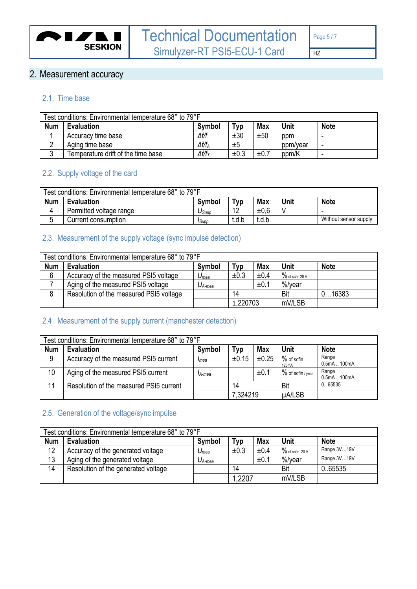

## <span id="page-4-0"></span>2. Measurement accuracy

#### <span id="page-4-1"></span>2.1. Time base

| Test conditions: Environmental temperature 68° to 79°F |                                    |                   |      |            |             |             |  |
|--------------------------------------------------------|------------------------------------|-------------------|------|------------|-------------|-------------|--|
| <b>Num</b>                                             | <b>Evaluation</b>                  | <b>Symbol</b>     | VD   | <b>Max</b> | <b>Unit</b> | <b>Note</b> |  |
|                                                        | Accuracy time base                 | $\Delta f/f$      | ±30  | ±50        | ppm         |             |  |
| ◠<br>∸                                                 | Aging time base                    | $\Delta f/f_A$    | ±5   |            | ppm/year    | -           |  |
| ົ                                                      | Temperature drift of the time base | $\Delta f/f_\tau$ | ±0.3 | ±0.7       | ppm/K       | ۰           |  |

#### <span id="page-4-2"></span>2.2. Supply voltage of the card

| Test conditions: Environmental temperature 68° to 79°F |                         |               |          |            |      |                       |
|--------------------------------------------------------|-------------------------|---------------|----------|------------|------|-----------------------|
| <b>Num</b>                                             | <b>Evaluation</b>       | Symbol        | ™ур      | <b>Max</b> | Unit | <b>Note</b>           |
|                                                        | Permitted voltage range | Usupp         | $\Delta$ | ±0.6       |      |                       |
| ັ                                                      | Current consumption     | <b>I</b> Supp | t.d.b    | t.d.b      |      | Without sensor supply |

#### <span id="page-4-3"></span>2.3. Measurement of the supply voltage (sync impulse detection)

|            | Test conditions: Environmental temperature 68° to 79°F |                    |          |            |                    |             |  |  |
|------------|--------------------------------------------------------|--------------------|----------|------------|--------------------|-------------|--|--|
| <b>Num</b> | <b>Evaluation</b>                                      | Symbol             | Typ      | <b>Max</b> | Unit               | <b>Note</b> |  |  |
| 6          | Accuracy of the measured PSI5 voltage                  | $U_{mea}$          | ±0.3     | ±0.4       | $\%$ of scfin 20 V |             |  |  |
|            | Aging of the measured PSI5 voltage                     | $U_{A\text{-}mea}$ |          | ±0.1       | %/vear             |             |  |  |
|            | Resolution of the measured PSI5 voltage                |                    | 14       |            | Bit                | 016383      |  |  |
|            |                                                        |                    | 1,220703 |            | mV/LSB             |             |  |  |

#### <span id="page-4-4"></span>2.4. Measurement of the supply current (manchester detection)

|            | Test conditions: Environmental temperature 68° to 79°F |        |          |            |                     |                       |  |  |
|------------|--------------------------------------------------------|--------|----------|------------|---------------------|-----------------------|--|--|
| <b>Num</b> | <b>Evaluation</b>                                      | Symbol | ™ур      | <b>Max</b> | Unit                | <b>Note</b>           |  |  |
| 9          | Accuracy of the measured PSI5 current                  | Imea   | ±0.15    | $\pm 0.25$ | % of scfin<br>120mA | Range<br>0.5mA  100mA |  |  |
| 10         | Aging of the measured PSI5 current                     | IA-mea |          | ±0.1       | % of scfin / year   | Range<br>0.5mA  100mA |  |  |
| 11         | Resolution of the measured PSI5 current                |        | 14       |            | Bit                 | 0.65535               |  |  |
|            |                                                        |        | 7,324219 |            | µA/LSB              |                       |  |  |

#### <span id="page-4-5"></span>2.5. Generation of the voltage/sync impulse

| Test conditions: Environmental temperature 68° to 79°F |                                                                                |             |       |      |                    |             |  |  |
|--------------------------------------------------------|--------------------------------------------------------------------------------|-------------|-------|------|--------------------|-------------|--|--|
| <b>Num</b>                                             | <b>Max</b><br><b>Evaluation</b><br>Unit<br><b>Note</b><br><b>Symbol</b><br>Typ |             |       |      |                    |             |  |  |
| 12                                                     | Accuracy of the generated voltage                                              | $U_{mea}$   | ±0.3  | ±0.4 | $\%$ of scfin 20 V | Range 3V19V |  |  |
| 13                                                     | Aging of the generated voltage                                                 | $U_{A-mea}$ |       | ±0.1 | %/vear             | Range 3V19V |  |  |
| 14                                                     | Resolution of the generated voltage                                            |             | 14    |      | Bit                | 0.65535     |  |  |
|                                                        |                                                                                |             | .2207 |      | mV/LSB             |             |  |  |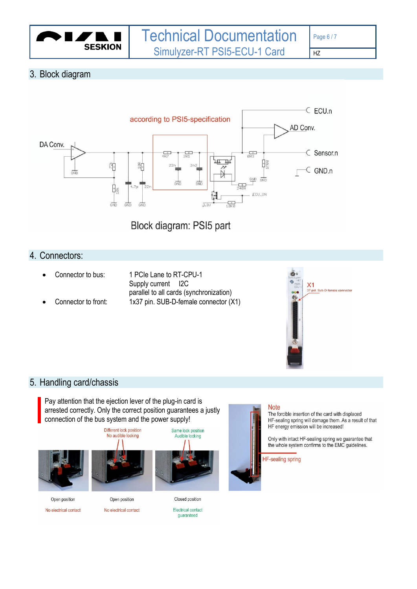

#### <span id="page-5-0"></span>3. Block diagram



Block diagram: PSI5 part

#### <span id="page-5-1"></span>4. Connectors:

- 
- 
- Connector to bus: 1 PCIe Lane to RT-CPU-1 Supply current I2C parallel to all cards (synchronization) • Connector to front: 1x37 pin. SUB-D-female connector (X1)



#### <span id="page-5-2"></span>5. Handling card/chassis

Pay attention that the ejection lever of the plug-in card is arrested correctly. Only the correct position guarantees a justly connection of the bus system and the power supply!







**Note** 

The forcible insertion of the card with displaced HF-sealing spring will demage them. As a result of that HF energy emission will be increased!

Only with intact HF-sealing spring we guarantee that the whole system confirms to the EMC guidelines.

**HF-sealing spring** 

Open position

No electrical contact

No electrical contact

Electrical contact guaranteed